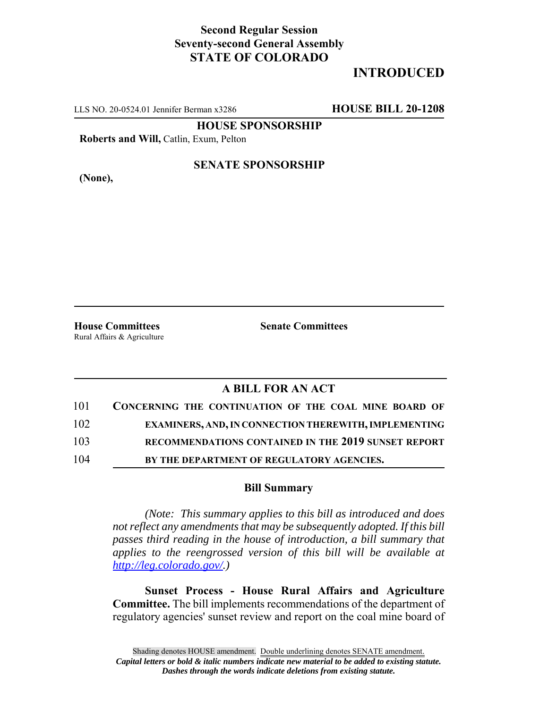## **Second Regular Session Seventy-second General Assembly STATE OF COLORADO**

# **INTRODUCED**

LLS NO. 20-0524.01 Jennifer Berman x3286 **HOUSE BILL 20-1208**

**HOUSE SPONSORSHIP**

**Roberts and Will,** Catlin, Exum, Pelton

**(None),**

### **SENATE SPONSORSHIP**

Rural Affairs & Agriculture

**House Committees Senate Committees** 

## **A BILL FOR AN ACT**

| 101 | CONCERNING THE CONTINUATION OF THE COAL MINE BOARD OF        |
|-----|--------------------------------------------------------------|
| 102 | <b>EXAMINERS, AND, IN CONNECTION THEREWITH, IMPLEMENTING</b> |
| 103 | RECOMMENDATIONS CONTAINED IN THE 2019 SUNSET REPORT          |
| 104 | BY THE DEPARTMENT OF REGULATORY AGENCIES.                    |

#### **Bill Summary**

*(Note: This summary applies to this bill as introduced and does not reflect any amendments that may be subsequently adopted. If this bill passes third reading in the house of introduction, a bill summary that applies to the reengrossed version of this bill will be available at http://leg.colorado.gov/.)*

**Sunset Process - House Rural Affairs and Agriculture Committee.** The bill implements recommendations of the department of regulatory agencies' sunset review and report on the coal mine board of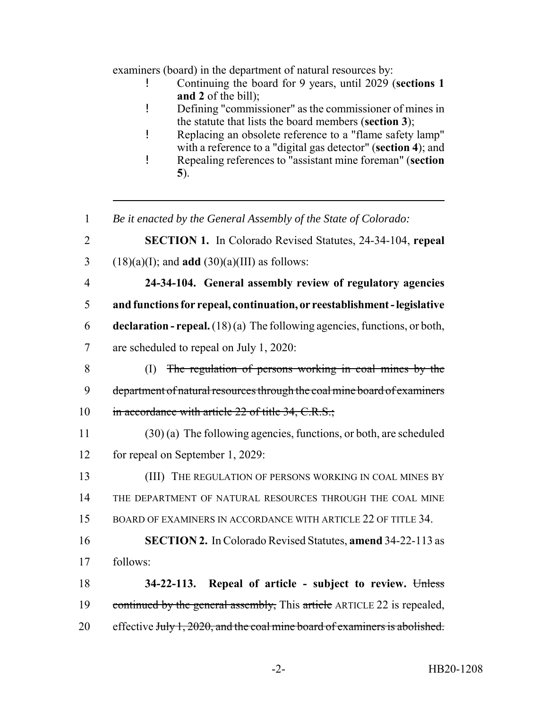examiners (board) in the department of natural resources by:

- ! Continuing the board for 9 years, until 2029 (**sections 1 and 2** of the bill);
- ! Defining "commissioner" as the commissioner of mines in the statute that lists the board members (**section 3**);
- ! Replacing an obsolete reference to a "flame safety lamp" with a reference to a "digital gas detector" (**section 4**); and
- ! Repealing references to "assistant mine foreman" (**section 5**).
- 1 *Be it enacted by the General Assembly of the State of Colorado:*
- 2 **SECTION 1.** In Colorado Revised Statutes, 24-34-104, **repeal** 3 (18)(a)(I); and **add** (30)(a)(III) as follows:
- 4 **24-34-104. General assembly review of regulatory agencies** 5 **and functions for repeal, continuation, or reestablishment - legislative** 6 **declaration - repeal.** (18) (a) The following agencies, functions, or both, 7 are scheduled to repeal on July 1, 2020:
- 8 (I) The regulation of persons working in coal mines by the 9 department of natural resources through the coal mine board of examiners 10 in accordance with article 22 of title 34, C.R.S.;
- 11 (30) (a) The following agencies, functions, or both, are scheduled 12 for repeal on September 1, 2029:
- 13 (III) THE REGULATION OF PERSONS WORKING IN COAL MINES BY 14 THE DEPARTMENT OF NATURAL RESOURCES THROUGH THE COAL MINE 15 BOARD OF EXAMINERS IN ACCORDANCE WITH ARTICLE 22 OF TITLE 34.
- 16 **SECTION 2.** In Colorado Revised Statutes, **amend** 34-22-113 as 17 follows:
- 18 **34-22-113. Repeal of article subject to review.** Unless 19 continued by the general assembly, This article ARTICLE 22 is repealed, 20 effective July 1, 2020, and the coal mine board of examiners is abolished.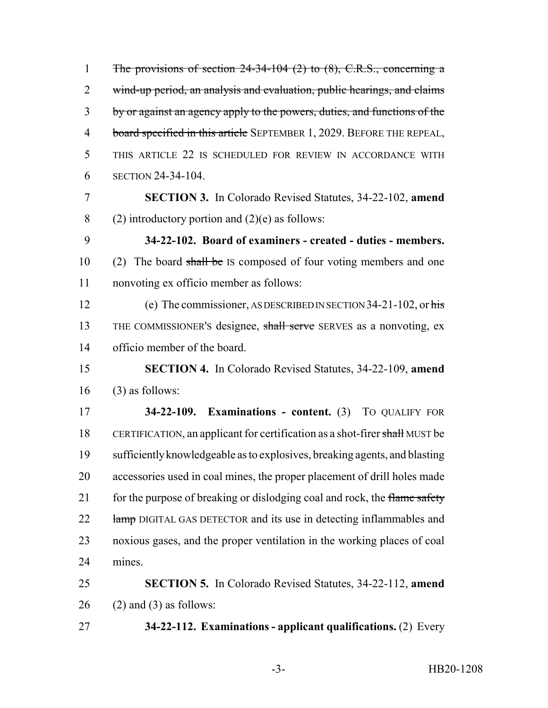1 The provisions of section 24-34-104 (2) to (8), C.R.S., concerning a 2 wind-up period, an analysis and evaluation, public hearings, and claims by or against an agency apply to the powers, duties, and functions of the 4 board specified in this article SEPTEMBER 1, 2029. BEFORE THE REPEAL, THIS ARTICLE 22 IS SCHEDULED FOR REVIEW IN ACCORDANCE WITH SECTION 24-34-104. **SECTION 3.** In Colorado Revised Statutes, 34-22-102, **amend** 8 (2) introductory portion and  $(2)(e)$  as follows: **34-22-102. Board of examiners - created - duties - members.** 10 (2) The board shall be IS composed of four voting members and one nonvoting ex officio member as follows: 12 (e) The commissioner, AS DESCRIBED IN SECTION 34-21-102, or his 13 THE COMMISSIONER's designee, shall serve SERVES as a nonvoting, ex officio member of the board. **SECTION 4.** In Colorado Revised Statutes, 34-22-109, **amend** (3) as follows: **34-22-109. Examinations - content.** (3) TO QUALIFY FOR 18 CERTIFICATION, an applicant for certification as a shot-firer shall MUST be sufficiently knowledgeable as to explosives, breaking agents, and blasting accessories used in coal mines, the proper placement of drill holes made 21 for the purpose of breaking or dislodging coal and rock, the flame safety 22 lamp DIGITAL GAS DETECTOR and its use in detecting inflammables and noxious gases, and the proper ventilation in the working places of coal mines. **SECTION 5.** In Colorado Revised Statutes, 34-22-112, **amend** (2) and (3) as follows: **34-22-112. Examinations - applicant qualifications.** (2) Every